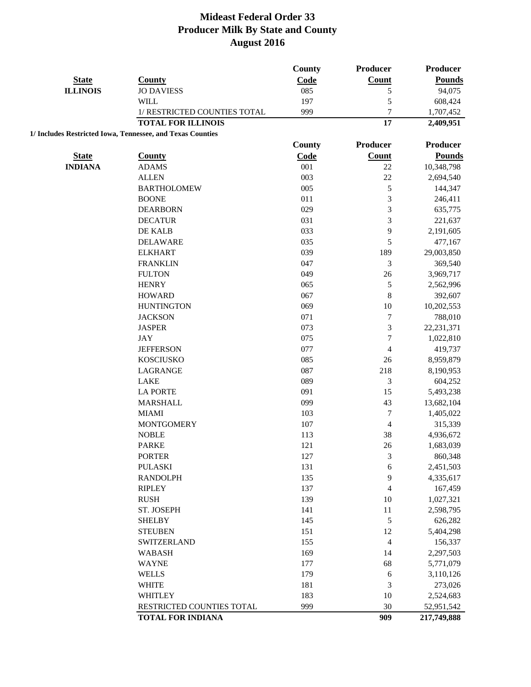|                 |                                                            | <b>County</b> | Producer                | Producer      |
|-----------------|------------------------------------------------------------|---------------|-------------------------|---------------|
| <b>State</b>    | <b>County</b>                                              | Code          | Count                   | <b>Pounds</b> |
| <b>ILLINOIS</b> | <b>JO DAVIESS</b>                                          | 085           | 5                       | 94,075        |
|                 | <b>WILL</b>                                                | 197           | 5                       | 608,424       |
|                 | 1/ RESTRICTED COUNTIES TOTAL                               | 999           | $\overline{7}$          | 1,707,452     |
|                 | <b>TOTAL FOR ILLINOIS</b>                                  |               | 17                      | 2,409,951     |
|                 | 1/ Includes Restricted Iowa, Tennessee, and Texas Counties |               |                         |               |
|                 |                                                            | County        | Producer                | Producer      |
| <b>State</b>    | <b>County</b>                                              | Code          | <b>Count</b>            | <b>Pounds</b> |
| <b>INDIANA</b>  | <b>ADAMS</b>                                               | 001           | 22                      | 10,348,798    |
|                 | <b>ALLEN</b>                                               | 003           | 22                      | 2,694,540     |
|                 | <b>BARTHOLOMEW</b>                                         | 005           | 5                       | 144,347       |
|                 | <b>BOONE</b>                                               | 011           | 3                       | 246,411       |
|                 | <b>DEARBORN</b>                                            | 029           | 3                       | 635,775       |
|                 | <b>DECATUR</b>                                             | 031           | $\mathfrak{Z}$          | 221,637       |
|                 | DE KALB                                                    | 033           | 9                       | 2,191,605     |
|                 | <b>DELAWARE</b>                                            | 035           | 5                       | 477,167       |
|                 | <b>ELKHART</b>                                             | 039           | 189                     | 29,003,850    |
|                 | <b>FRANKLIN</b>                                            | 047           | 3                       | 369,540       |
|                 | <b>FULTON</b>                                              | 049           | 26                      | 3,969,717     |
|                 | <b>HENRY</b>                                               | 065           | $\sqrt{5}$              | 2,562,996     |
|                 | <b>HOWARD</b>                                              | 067           | 8                       | 392,607       |
|                 | <b>HUNTINGTON</b>                                          | 069           | 10                      | 10,202,553    |
|                 | <b>JACKSON</b>                                             | 071           | $\tau$                  | 788,010       |
|                 | <b>JASPER</b>                                              | 073           | 3                       | 22, 231, 371  |
|                 | <b>JAY</b>                                                 | 075           | $\boldsymbol{7}$        | 1,022,810     |
|                 | <b>JEFFERSON</b>                                           | 077           | $\overline{\mathbf{4}}$ | 419,737       |
|                 | <b>KOSCIUSKO</b>                                           | 085           | $26\,$                  | 8,959,879     |
|                 | LAGRANGE                                                   | 087           | 218                     | 8,190,953     |
|                 | <b>LAKE</b>                                                | 089           | 3                       | 604,252       |
|                 | <b>LA PORTE</b>                                            | 091           | 15                      | 5,493,238     |
|                 | <b>MARSHALL</b>                                            | 099           | 43                      | 13,682,104    |
|                 | <b>MIAMI</b>                                               | 103           | $\boldsymbol{7}$        | 1,405,022     |
|                 | <b>MONTGOMERY</b>                                          | 107           | $\overline{4}$          | 315,339       |
|                 | <b>NOBLE</b>                                               | 113           | 38                      | 4,936,672     |
|                 | <b>PARKE</b>                                               | 121           | 26                      | 1,683,039     |
|                 | <b>PORTER</b>                                              | 127           | 3                       | 860,348       |
|                 | <b>PULASKI</b>                                             | 131           | 6                       | 2,451,503     |
|                 | <b>RANDOLPH</b>                                            | 135           | 9                       | 4,335,617     |
|                 | <b>RIPLEY</b>                                              | 137           | 4                       | 167,459       |
|                 | <b>RUSH</b>                                                | 139           | 10                      | 1,027,321     |
|                 | ST. JOSEPH                                                 | 141           | 11                      | 2,598,795     |
|                 | <b>SHELBY</b>                                              | 145           | 5                       | 626,282       |
|                 | <b>STEUBEN</b>                                             | 151           | 12                      | 5,404,298     |
|                 | SWITZERLAND                                                | 155           | $\overline{4}$          | 156,337       |
|                 | <b>WABASH</b>                                              | 169           | 14                      | 2,297,503     |
|                 | <b>WAYNE</b>                                               | 177           | 68                      | 5,771,079     |
|                 | <b>WELLS</b>                                               | 179           | 6                       | 3,110,126     |
|                 | <b>WHITE</b>                                               | 181           | $\mathfrak{Z}$          | 273,026       |
|                 | WHITLEY                                                    | 183           | 10                      | 2,524,683     |
|                 | RESTRICTED COUNTIES TOTAL                                  | 999           | 30                      | 52,951,542    |
|                 | <b>TOTAL FOR INDIANA</b>                                   |               | 909                     | 217,749,888   |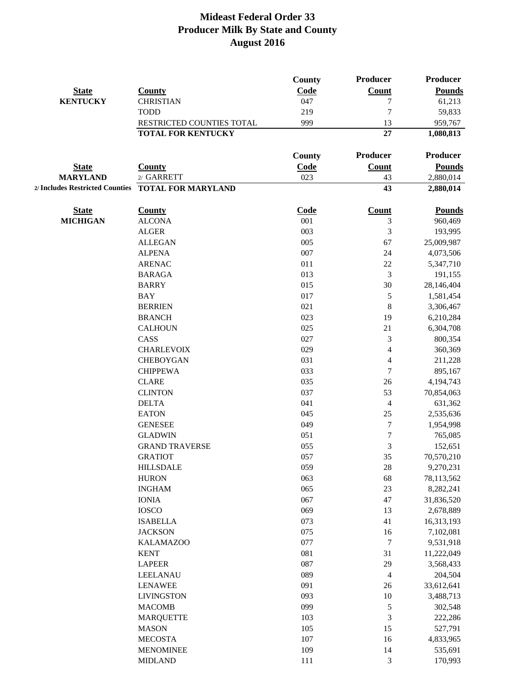|                                 |                                | County             | Producer          | <b>Producer</b>          |
|---------------------------------|--------------------------------|--------------------|-------------------|--------------------------|
| <b>State</b>                    | <b>County</b>                  | Code               | <b>Count</b>      | <b>Pounds</b>            |
| <b>KENTUCKY</b>                 | <b>CHRISTIAN</b>               | 047                | 7                 | 61,213                   |
|                                 | <b>TODD</b>                    | 219                | 7                 | 59,833                   |
|                                 | RESTRICTED COUNTIES TOTAL      | 999                | 13                | 959,767                  |
|                                 | <b>TOTAL FOR KENTUCKY</b>      |                    | 27                | 1,080,813                |
|                                 |                                | County             | Producer          | <b>Producer</b>          |
| <b>State</b>                    | <b>County</b>                  | Code               | Count             | <b>Pounds</b>            |
| <b>MARYLAND</b>                 | 2/ GARRETT                     | 023                | 43                | 2,880,014                |
| 2/ Includes Restricted Counties | <b>TOTAL FOR MARYLAND</b>      |                    | 43                | 2,880,014                |
|                                 |                                |                    |                   |                          |
| <b>State</b><br><b>MICHIGAN</b> | <b>County</b><br><b>ALCONA</b> | <b>Code</b><br>001 | <b>Count</b><br>3 | <b>Pounds</b><br>960,469 |
|                                 | <b>ALGER</b>                   | 003                |                   |                          |
|                                 |                                | 005                | 3<br>67           | 193,995                  |
|                                 | <b>ALLEGAN</b>                 | 007                |                   | 25,009,987               |
|                                 | <b>ALPENA</b>                  |                    | 24                | 4,073,506                |
|                                 | <b>ARENAC</b>                  | 011                | 22                | 5,347,710                |
|                                 | <b>BARAGA</b>                  | 013                | 3                 | 191,155                  |
|                                 | <b>BARRY</b>                   | 015                | 30                | 28,146,404               |
|                                 | <b>BAY</b>                     | 017                | 5                 | 1,581,454                |
|                                 | <b>BERRIEN</b>                 | 021                | $\,$ 8 $\,$       | 3,306,467                |
|                                 | <b>BRANCH</b>                  | 023                | 19                | 6,210,284                |
|                                 | <b>CALHOUN</b>                 | 025                | 21                | 6,304,708                |
|                                 | CASS                           | 027                | 3                 | 800,354                  |
|                                 | <b>CHARLEVOIX</b>              | 029                | $\overline{4}$    | 360,369                  |
|                                 | <b>CHEBOYGAN</b>               | 031                | 4                 | 211,228                  |
|                                 | <b>CHIPPEWA</b>                | 033                | 7                 | 895,167                  |
|                                 | <b>CLARE</b>                   | 035                | 26                | 4,194,743                |
|                                 | <b>CLINTON</b>                 | 037                | 53                | 70,854,063               |
|                                 | <b>DELTA</b>                   | 041                | 4                 | 631,362                  |
|                                 | <b>EATON</b>                   | 045                | 25                | 2,535,636                |
|                                 | <b>GENESEE</b>                 | 049                | $\overline{7}$    | 1,954,998                |
|                                 | <b>GLADWIN</b>                 | 051                | 7                 | 765,085                  |
|                                 | <b>GRAND TRAVERSE</b>          | 055                | 3                 | 152,651                  |
|                                 | <b>GRATIOT</b>                 | 057                | 35                | 70,570,210               |
|                                 | <b>HILLSDALE</b>               | 059                | 28                | 9,270,231                |
|                                 | <b>HURON</b>                   | 063                | 68                | 78,113,562               |
|                                 | <b>INGHAM</b>                  | 065                | 23                | 8,282,241                |
|                                 | <b>IONIA</b>                   | 067                | 47                | 31,836,520               |
|                                 | <b>IOSCO</b>                   | 069                | 13                | 2,678,889                |
|                                 | <b>ISABELLA</b>                | 073                | $41\,$            | 16,313,193               |
|                                 | <b>JACKSON</b>                 | 075                | 16                | 7,102,081                |
|                                 | <b>KALAMAZOO</b>               | 077                | $\tau$            | 9,531,918                |
|                                 | <b>KENT</b>                    | 081                | 31                | 11,222,049               |
|                                 | <b>LAPEER</b>                  | 087                | 29                | 3,568,433                |
|                                 | <b>LEELANAU</b>                | 089                | 4                 | 204,504                  |
|                                 | <b>LENAWEE</b>                 | 091                | 26                | 33,612,641               |
|                                 | <b>LIVINGSTON</b>              | 093                | $10\,$            | 3,488,713                |
|                                 | <b>MACOMB</b>                  | 099                | 5                 | 302,548                  |
|                                 | <b>MARQUETTE</b>               | 103                | 3                 | 222,286                  |
|                                 | <b>MASON</b>                   | 105                | 15                | 527,791                  |
|                                 | <b>MECOSTA</b>                 | 107                | 16                | 4,833,965                |
|                                 | <b>MENOMINEE</b>               | 109                | 14                | 535,691                  |
|                                 | <b>MIDLAND</b>                 | 111                | 3                 | 170,993                  |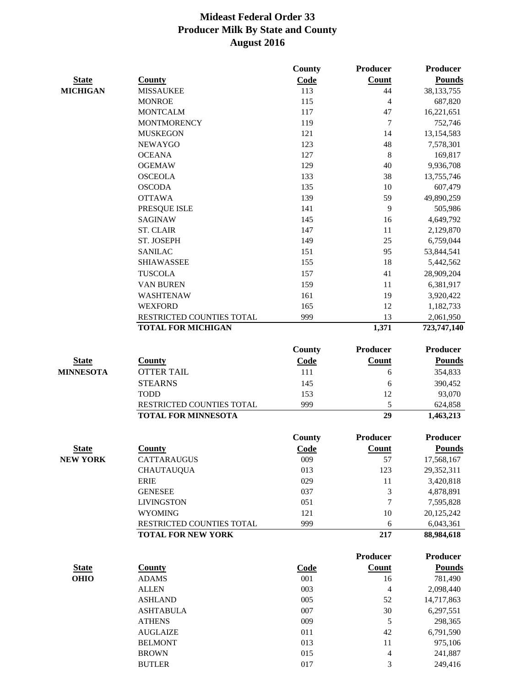|                  |                            | County      | <b>Producer</b> | Producer        |
|------------------|----------------------------|-------------|-----------------|-----------------|
| <b>State</b>     | <b>County</b>              | Code        | Count           | <b>Pounds</b>   |
| <b>MICHIGAN</b>  | <b>MISSAUKEE</b>           | 113         | 44              | 38, 133, 755    |
|                  | <b>MONROE</b>              | 115         | $\overline{4}$  | 687,820         |
|                  | <b>MONTCALM</b>            | 117         | 47              | 16,221,651      |
|                  | <b>MONTMORENCY</b>         | 119         | 7               | 752,746         |
|                  | <b>MUSKEGON</b>            | 121         | 14              | 13,154,583      |
|                  | <b>NEWAYGO</b>             | 123         | 48              | 7,578,301       |
|                  | <b>OCEANA</b>              | 127         | $\,8\,$         | 169,817         |
|                  | <b>OGEMAW</b>              | 129         | 40              | 9,936,708       |
|                  | <b>OSCEOLA</b>             | 133         | 38              | 13,755,746      |
|                  | <b>OSCODA</b>              | 135         | 10              | 607,479         |
|                  | <b>OTTAWA</b>              | 139         | 59              | 49,890,259      |
|                  | PRESQUE ISLE               | 141         | 9               | 505,986         |
|                  | <b>SAGINAW</b>             | 145         | 16              | 4,649,792       |
|                  | <b>ST. CLAIR</b>           | 147         | 11              | 2,129,870       |
|                  | ST. JOSEPH                 | 149         | 25              | 6,759,044       |
|                  | <b>SANILAC</b>             | 151         | 95              | 53,844,541      |
|                  | <b>SHIAWASSEE</b>          | 155         | 18              | 5,442,562       |
|                  | <b>TUSCOLA</b>             | 157         | 41              | 28,909,204      |
|                  | <b>VAN BUREN</b>           | 159         | 11              | 6,381,917       |
|                  | WASHTENAW                  | 161         | 19              | 3,920,422       |
|                  | <b>WEXFORD</b>             | 165         | 12              | 1,182,733       |
|                  | RESTRICTED COUNTIES TOTAL  | 999         | 13              | 2,061,950       |
|                  | <b>TOTAL FOR MICHIGAN</b>  |             | 1,371           | 723,747,140     |
|                  |                            | County      | <b>Producer</b> | <b>Producer</b> |
| <b>State</b>     | <b>County</b>              | Code        | Count           | <b>Pounds</b>   |
| <b>MINNESOTA</b> | <b>OTTER TAIL</b>          | 111         | 6               | 354,833         |
|                  | <b>STEARNS</b>             | 145         | 6               | 390,452         |
|                  | <b>TODD</b>                | 153         | 12              | 93,070          |
|                  | RESTRICTED COUNTIES TOTAL  | 999         | 5               | 624,858         |
|                  | <b>TOTAL FOR MINNESOTA</b> |             | 29              | 1,463,213       |
|                  |                            | County      | Producer        | <b>Producer</b> |
| <b>State</b>     | <b>County</b>              | Code        | Count           | <b>Pounds</b>   |
| <b>NEW YORK</b>  | <b>CATTARAUGUS</b>         | 009         | 57              | 17,568,167      |
|                  | <b>CHAUTAUQUA</b>          | 013         | 123             | 29,352,311      |
|                  | <b>ERIE</b>                | 029         | 11              | 3,420,818       |
|                  | <b>GENESEE</b>             | 037         | 3               | 4,878,891       |
|                  | <b>LIVINGSTON</b>          | 051         | 7               | 7,595,828       |
|                  | <b>WYOMING</b>             | 121         | 10              | 20,125,242      |
|                  | RESTRICTED COUNTIES TOTAL  | 999         | 6               | 6,043,361       |
|                  | <b>TOTAL FOR NEW YORK</b>  |             | 217             | 88,984,618      |
|                  |                            |             | <b>Producer</b> | <b>Producer</b> |
| <b>State</b>     | <b>County</b>              | <b>Code</b> | Count           | <b>Pounds</b>   |
| <b>OHIO</b>      | <b>ADAMS</b>               | 001         | 16              | 781,490         |
|                  | <b>ALLEN</b>               | 003         | $\overline{4}$  | 2,098,440       |
|                  | <b>ASHLAND</b>             | 005         | 52              | 14,717,863      |
|                  | <b>ASHTABULA</b>           | 007         | 30              | 6,297,551       |
|                  | <b>ATHENS</b>              | 009         | $\sqrt{5}$      | 298,365         |
|                  | <b>AUGLAIZE</b>            | 011         | 42              | 6,791,590       |
|                  | <b>BELMONT</b>             | 013         | 11              | 975,106         |
|                  | <b>BROWN</b>               | 015         | $\overline{4}$  | 241,887         |
|                  | <b>BUTLER</b>              | 017         | 3               | 249,416         |
|                  |                            |             |                 |                 |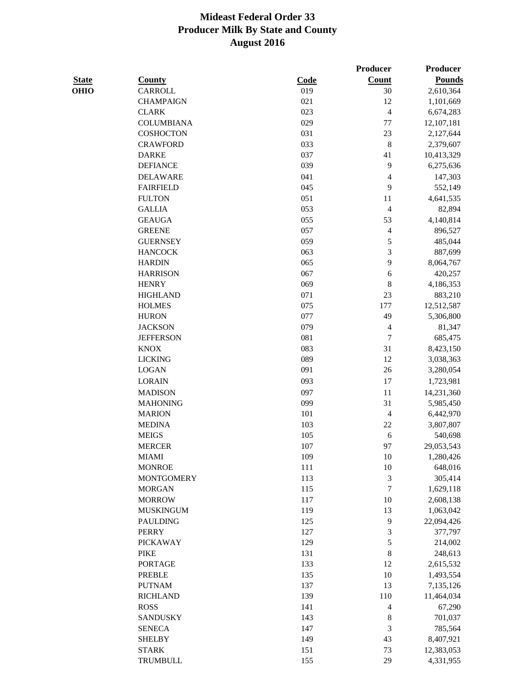**Producer Producer** 

| ×<br>۰.<br>I<br>. .<br>۰.<br>w |  |
|--------------------------------|--|
|                                |  |
|                                |  |

| <b>State</b> | <b>County</b>     | Code | <b>Count</b>             | <b>Pounds</b> |
|--------------|-------------------|------|--------------------------|---------------|
| <b>OHIO</b>  | CARROLL           | 019  | 30                       | 2,610,364     |
|              | <b>CHAMPAIGN</b>  | 021  | 12                       | 1,101,669     |
|              | <b>CLARK</b>      | 023  | $\overline{\mathcal{L}}$ | 6,674,283     |
|              | <b>COLUMBIANA</b> | 029  | 77                       | 12,107,181    |
|              | <b>COSHOCTON</b>  | 031  | 23                       | 2,127,644     |
|              | <b>CRAWFORD</b>   | 033  | $\,$ 8 $\,$              | 2,379,607     |
|              | <b>DARKE</b>      | 037  | 41                       | 10,413,329    |
|              | <b>DEFIANCE</b>   | 039  | 9                        | 6,275,636     |
|              | <b>DELAWARE</b>   | 041  | 4                        | 147,303       |
|              | <b>FAIRFIELD</b>  | 045  | 9                        | 552,149       |
|              | <b>FULTON</b>     | 051  | 11                       | 4,641,535     |
|              | <b>GALLIA</b>     | 053  | 4                        | 82,894        |
|              | <b>GEAUGA</b>     | 055  | 53                       | 4,140,814     |
|              | <b>GREENE</b>     | 057  | $\overline{\mathcal{L}}$ | 896,527       |
|              | <b>GUERNSEY</b>   | 059  | 5                        | 485,044       |
|              | <b>HANCOCK</b>    | 063  | 3                        | 887,699       |
|              | <b>HARDIN</b>     | 065  | 9                        | 8,064,767     |
|              | <b>HARRISON</b>   | 067  | 6                        | 420,257       |
|              | <b>HENRY</b>      | 069  | 8                        | 4,186,353     |
|              | <b>HIGHLAND</b>   | 071  | 23                       | 883,210       |
|              | <b>HOLMES</b>     | 075  | 177                      | 12,512,587    |
|              | <b>HURON</b>      | 077  | 49                       | 5,306,800     |
|              | <b>JACKSON</b>    | 079  | 4                        | 81,347        |
|              | <b>JEFFERSON</b>  | 081  | $\overline{7}$           | 685,475       |
|              | <b>KNOX</b>       | 083  | 31                       | 8,423,150     |
|              | <b>LICKING</b>    | 089  | 12                       | 3,038,363     |
|              | <b>LOGAN</b>      | 091  | 26                       | 3,280,054     |
|              | <b>LORAIN</b>     | 093  | 17                       | 1,723,981     |
|              | <b>MADISON</b>    | 097  | 11                       | 14,231,360    |
|              | <b>MAHONING</b>   | 099  | 31                       | 5,985,450     |
|              | <b>MARION</b>     | 101  | $\overline{\mathcal{L}}$ | 6,442,970     |
|              | <b>MEDINA</b>     | 103  | 22                       | 3,807,807     |
|              | <b>MEIGS</b>      | 105  | 6                        | 540,698       |
|              | <b>MERCER</b>     | 107  | 97                       | 29,053,543    |
|              | <b>MIAMI</b>      | 109  | 10                       | 1,280,426     |
|              | <b>MONROE</b>     | 111  | $10\,$                   | 648,016       |
|              | <b>MONTGOMERY</b> | 113  | 3                        | 305,414       |
|              | <b>MORGAN</b>     | 115  | $\overline{7}$           | 1,629,118     |
|              | <b>MORROW</b>     | 117  | $10\,$                   | 2,608,138     |
|              | <b>MUSKINGUM</b>  | 119  | 13                       | 1,063,042     |
|              | <b>PAULDING</b>   | 125  | 9                        | 22,094,426    |
|              | <b>PERRY</b>      | 127  | 3                        | 377,797       |
|              | <b>PICKAWAY</b>   | 129  | 5                        | 214,002       |
|              | <b>PIKE</b>       | 131  | 8                        | 248,613       |
|              | <b>PORTAGE</b>    | 133  | 12                       | 2,615,532     |
|              | PREBLE            | 135  | $10\,$                   | 1,493,554     |
|              | <b>PUTNAM</b>     | 137  | 13                       | 7,135,126     |
|              | <b>RICHLAND</b>   | 139  | 110                      | 11,464,034    |
|              | <b>ROSS</b>       | 141  | 4                        | 67,290        |
|              | <b>SANDUSKY</b>   | 143  | 8                        | 701,037       |
|              | <b>SENECA</b>     | 147  | 3                        | 785,564       |
|              | <b>SHELBY</b>     | 149  | 43                       | 8,407,921     |
|              | <b>STARK</b>      | 151  | 73                       | 12,383,053    |
|              | TRUMBULL          | 155  | 29                       | 4,331,955     |
|              |                   |      |                          |               |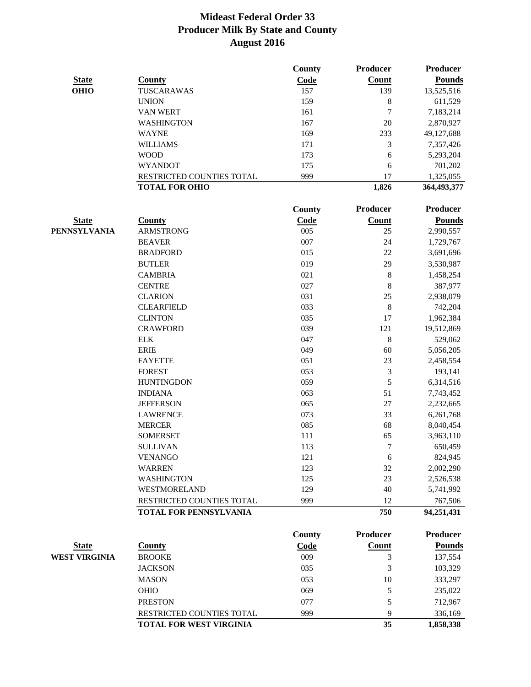|                      |                           | County      | <b>Producer</b> | <b>Producer</b> |
|----------------------|---------------------------|-------------|-----------------|-----------------|
| <b>State</b>         | <b>County</b>             | Code        | Count           | <b>Pounds</b>   |
| <b>OHIO</b>          | TUSCARAWAS                | 157         | 139             | 13,525,516      |
|                      | <b>UNION</b>              | 159         | 8               | 611,529         |
|                      | VAN WERT                  | 161         | 7               | 7,183,214       |
|                      | <b>WASHINGTON</b>         | 167         | 20              | 2,870,927       |
|                      | <b>WAYNE</b>              | 169         | 233             | 49,127,688      |
|                      | <b>WILLIAMS</b>           | 171         | 3               | 7,357,426       |
|                      | <b>WOOD</b>               | 173         | 6               | 5,293,204       |
|                      | <b>WYANDOT</b>            | 175         | 6               | 701,202         |
|                      | RESTRICTED COUNTIES TOTAL | 999         | 17              | 1,325,055       |
|                      | <b>TOTAL FOR OHIO</b>     |             | 1,826           | 364,493,377     |
|                      |                           | County      | <b>Producer</b> | Producer        |
| <b>State</b>         | <b>County</b>             | <b>Code</b> | <b>Count</b>    | <b>Pounds</b>   |
| <b>PENNSYLVANIA</b>  | <b>ARMSTRONG</b>          | 005         | 25              | 2,990,557       |
|                      | <b>BEAVER</b>             | 007         | 24              | 1,729,767       |
|                      | <b>BRADFORD</b>           | 015         | 22              | 3,691,696       |
|                      | <b>BUTLER</b>             | 019         | 29              | 3,530,987       |
|                      | <b>CAMBRIA</b>            | 021         | $\,8\,$         | 1,458,254       |
|                      | <b>CENTRE</b>             | 027         | $\,8\,$         | 387,977         |
|                      | <b>CLARION</b>            | 031         | 25              | 2,938,079       |
|                      | <b>CLEARFIELD</b>         | 033         | 8               | 742,204         |
|                      | <b>CLINTON</b>            | 035         | 17              | 1,962,384       |
|                      | <b>CRAWFORD</b>           | 039         | 121             | 19,512,869      |
|                      | <b>ELK</b>                | 047         | $\,8\,$         | 529,062         |
|                      | <b>ERIE</b>               | 049         | 60              | 5,056,205       |
|                      | <b>FAYETTE</b>            | 051         | 23              | 2,458,554       |
|                      | <b>FOREST</b>             | 053         | 3               | 193,141         |
|                      | <b>HUNTINGDON</b>         | 059         | 5               | 6,314,516       |
|                      | <b>INDIANA</b>            | 063         | 51              | 7,743,452       |
|                      | <b>JEFFERSON</b>          | 065         | $27\,$          | 2,232,665       |
|                      | <b>LAWRENCE</b>           | 073         | 33              | 6,261,768       |
|                      | <b>MERCER</b>             | 085         | 68              | 8,040,454       |
|                      | <b>SOMERSET</b>           | 111         | 65              | 3,963,110       |
|                      | <b>SULLIVAN</b>           | 113         | $\tau$          | 650,459         |
|                      | <b>VENANGO</b>            | 121         | 6               | 824,945         |
|                      | <b>WARREN</b>             | 123         | 32              | 2,002,290       |
|                      | <b>WASHINGTON</b>         | 125         | 23              | 2,526,538       |
|                      | WESTMORELAND              | 129         | 40              | 5,741,992       |
|                      | RESTRICTED COUNTIES TOTAL | 999         | 12              | 767,506         |
|                      | TOTAL FOR PENNSYLVANIA    |             | 750             | 94,251,431      |
|                      |                           | County      | <b>Producer</b> | <b>Producer</b> |
| <b>State</b>         | <b>County</b>             | Code        | <b>Count</b>    | <b>Pounds</b>   |
| <b>WEST VIRGINIA</b> | <b>BROOKE</b>             | 009         | 3               | 137,554         |
|                      | <b>JACKSON</b>            | 035         | 3               | 103,329         |
|                      | <b>MASON</b>              | 053         | 10              | 333,297         |
|                      | OHIO                      | 069         | 5               | 235,022         |
|                      | <b>PRESTON</b>            | 077         | 5               | 712,967         |
|                      | RESTRICTED COUNTIES TOTAL | 999         | 9               | 336,169         |
|                      | TOTAL FOR WEST VIRGINIA   |             | 35              | 1,858,338       |
|                      |                           |             |                 |                 |